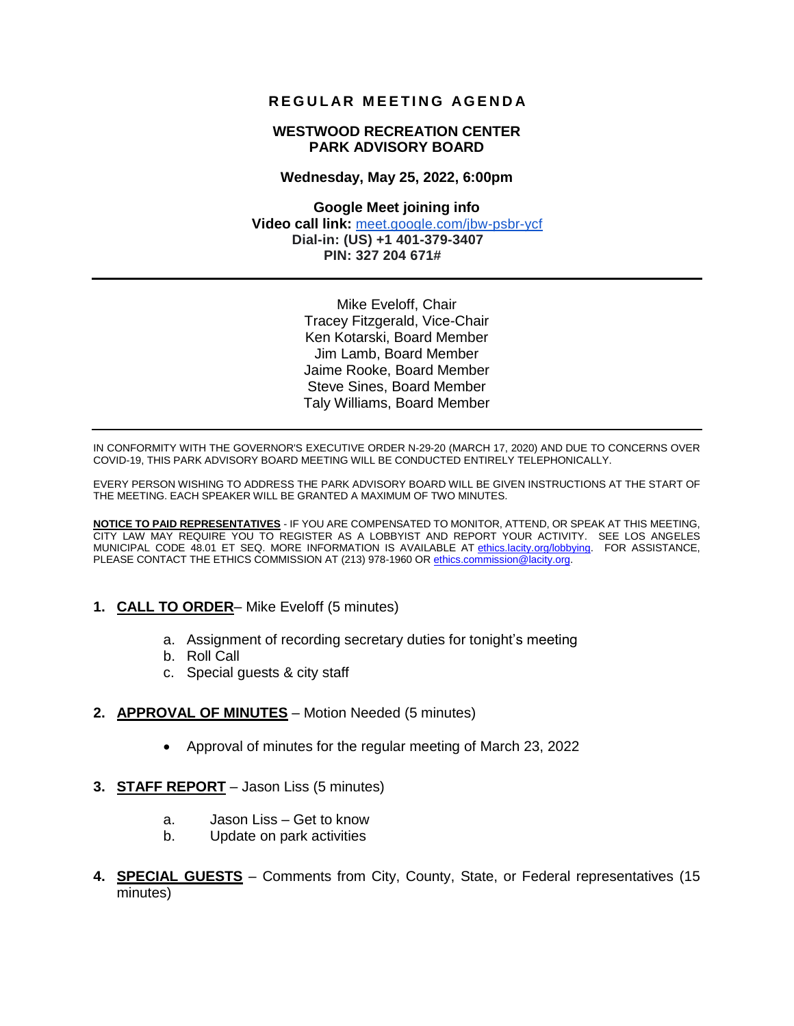## **R E G U L AR M E E T I N G AG E N D A**

#### **WESTWOOD RECREATION CENTER PARK ADVISORY BOARD**

#### **Wednesday, May 25, 2022, 6:00pm**

**Google Meet joining info Video call link:** [meet.google.com/jbw-psbr-ycf](http://meet.google.com/jbw-psbr-ycf)  **Dial-in: (US) +1 401-379-3407 PIN: 327 204 671#**

> Mike Eveloff, Chair Tracey Fitzgerald, Vice-Chair Ken Kotarski, Board Member Jim Lamb, Board Member Jaime Rooke, Board Member Steve Sines, Board Member Taly Williams, Board Member

IN CONFORMITY WITH THE GOVERNOR'S EXECUTIVE ORDER N-29-20 (MARCH 17, 2020) AND DUE TO CONCERNS OVER COVID-19, THIS PARK ADVISORY BOARD MEETING WILL BE CONDUCTED ENTIRELY TELEPHONICALLY.

EVERY PERSON WISHING TO ADDRESS THE PARK ADVISORY BOARD WILL BE GIVEN INSTRUCTIONS AT THE START OF THE MEETING. EACH SPEAKER WILL BE GRANTED A MAXIMUM OF TWO MINUTES.

**NOTICE TO PAID REPRESENTATIVES** - IF YOU ARE COMPENSATED TO MONITOR, ATTEND, OR SPEAK AT THIS MEETING, CITY LAW MAY REQUIRE YOU TO REGISTER AS A LOBBYIST AND REPORT YOUR ACTIVITY. SEE LOS ANGELES MUNICIPAL CODE 48.01 ET SEQ. MORE INFORMATION IS AVAILABLE AT ethics.lacity.org/lobbying. FOR ASSISTANCE, PLEASE CONTACT THE ETHICS COMMISSION AT (213) 978-1960 O[R ethics.commission@lacity.org.](mailto:ethics.commission@lacity.org)

- **1. CALL TO ORDER** Mike Eveloff (5 minutes)
	- a. Assignment of recording secretary duties for tonight's meeting
	- b. Roll Call
	- c. Special guests & city staff
- **2. APPROVAL OF MINUTES** Motion Needed (5 minutes)
	- Approval of minutes for the regular meeting of March 23, 2022
- **3. STAFF REPORT** Jason Liss (5 minutes)
	- a. Jason Liss Get to know
	- b. Update on park activities
- **4. SPECIAL GUESTS** Comments from City, County, State, or Federal representatives (15 minutes)